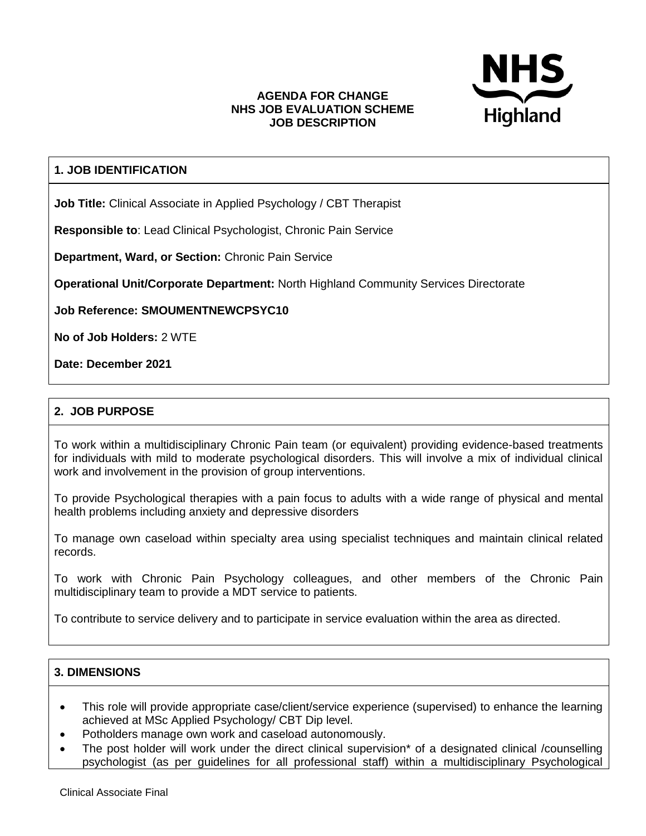

#### **AGENDA FOR CHANGE NHS JOB EVALUATION SCHEME JOB DESCRIPTION**

# **1. JOB IDENTIFICATION**

**Job Title:** Clinical Associate in Applied Psychology / CBT Therapist

**Responsible to**: Lead Clinical Psychologist, Chronic Pain Service

**Department, Ward, or Section:** Chronic Pain Service

**Operational Unit/Corporate Department:** North Highland Community Services Directorate

**Job Reference: SMOUMENTNEWCPSYC10**

**No of Job Holders:** 2 WTE

**Date: December 2021**

## **2. JOB PURPOSE**

To work within a multidisciplinary Chronic Pain team (or equivalent) providing evidence-based treatments for individuals with mild to moderate psychological disorders. This will involve a mix of individual clinical work and involvement in the provision of group interventions.

To provide Psychological therapies with a pain focus to adults with a wide range of physical and mental health problems including anxiety and depressive disorders

To manage own caseload within specialty area using specialist techniques and maintain clinical related records.

To work with Chronic Pain Psychology colleagues, and other members of the Chronic Pain multidisciplinary team to provide a MDT service to patients.

To contribute to service delivery and to participate in service evaluation within the area as directed.

#### **3. DIMENSIONS**

- This role will provide appropriate case/client/service experience (supervised) to enhance the learning achieved at MSc Applied Psychology/ CBT Dip level.
- Potholders manage own work and caseload autonomously.
- The post holder will work under the direct clinical supervision\* of a designated clinical /counselling psychologist (as per guidelines for all professional staff) within a multidisciplinary Psychological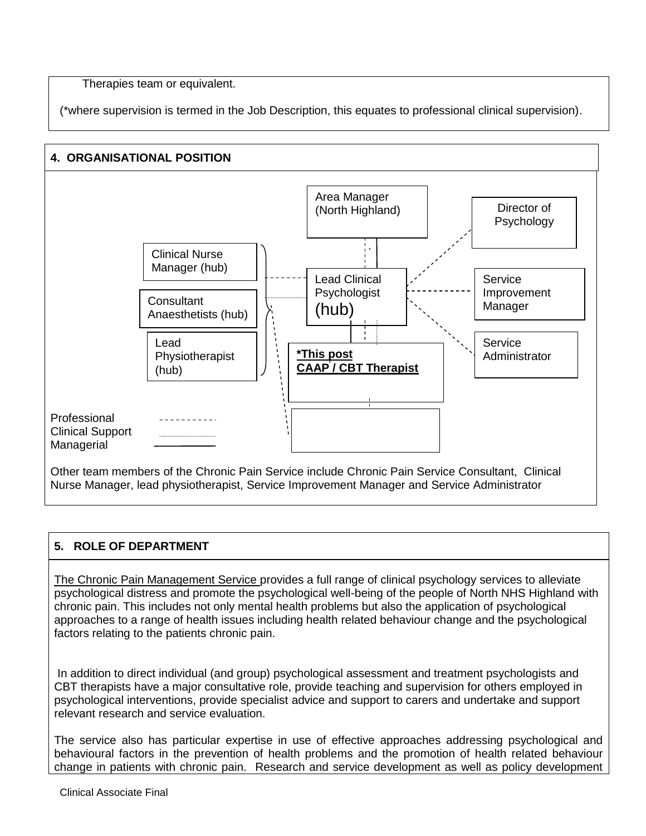Therapies team or equivalent.

(\*where supervision is termed in the Job Description, this equates to professional clinical supervision).



# **5. ROLE OF DEPARTMENT**

The Chronic Pain Management Service provides a full range of clinical psychology services to alleviate psychological distress and promote the psychological well-being of the people of North NHS Highland with chronic pain. This includes not only mental health problems but also the application of psychological approaches to a range of health issues including health related behaviour change and the psychological factors relating to the patients chronic pain.

In addition to direct individual (and group) psychological assessment and treatment psychologists and CBT therapists have a major consultative role, provide teaching and supervision for others employed in psychological interventions, provide specialist advice and support to carers and undertake and support relevant research and service evaluation.

The service also has particular expertise in use of effective approaches addressing psychological and behavioural factors in the prevention of health problems and the promotion of health related behaviour change in patients with chronic pain. Research and service development as well as policy development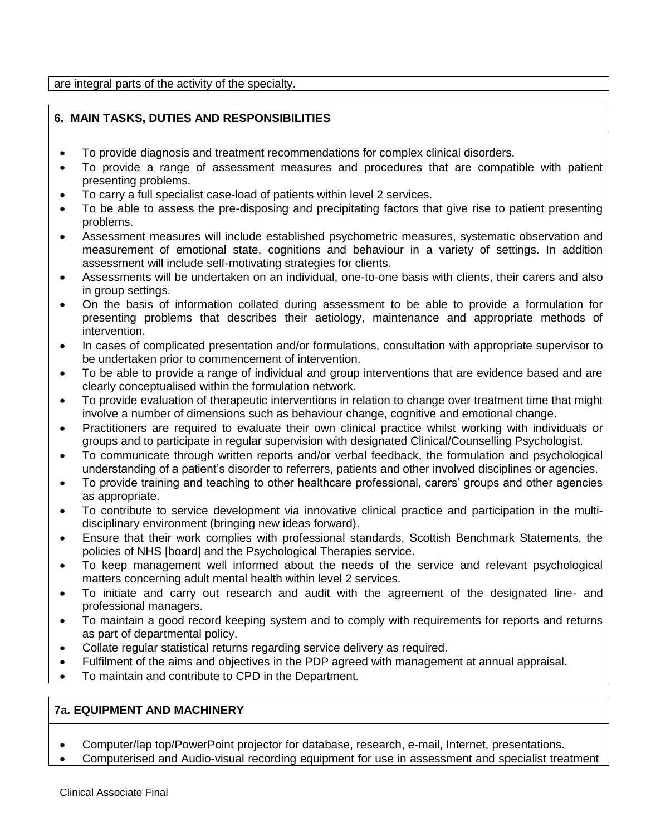are integral parts of the activity of the specialty.

# **6. MAIN TASKS, DUTIES AND RESPONSIBILITIES**

- To provide diagnosis and treatment recommendations for complex clinical disorders.
- To provide a range of assessment measures and procedures that are compatible with patient presenting problems.
- To carry a full specialist case-load of patients within level 2 services.
- To be able to assess the pre-disposing and precipitating factors that give rise to patient presenting problems.
- Assessment measures will include established psychometric measures, systematic observation and measurement of emotional state, cognitions and behaviour in a variety of settings. In addition assessment will include self-motivating strategies for clients.
- Assessments will be undertaken on an individual, one-to-one basis with clients, their carers and also in group settings.
- On the basis of information collated during assessment to be able to provide a formulation for presenting problems that describes their aetiology, maintenance and appropriate methods of intervention.
- In cases of complicated presentation and/or formulations, consultation with appropriate supervisor to be undertaken prior to commencement of intervention.
- To be able to provide a range of individual and group interventions that are evidence based and are clearly conceptualised within the formulation network.
- To provide evaluation of therapeutic interventions in relation to change over treatment time that might involve a number of dimensions such as behaviour change, cognitive and emotional change.
- Practitioners are required to evaluate their own clinical practice whilst working with individuals or groups and to participate in regular supervision with designated Clinical/Counselling Psychologist.
- To communicate through written reports and/or verbal feedback, the formulation and psychological understanding of a patient's disorder to referrers, patients and other involved disciplines or agencies.
- To provide training and teaching to other healthcare professional, carers' groups and other agencies as appropriate.
- To contribute to service development via innovative clinical practice and participation in the multidisciplinary environment (bringing new ideas forward).
- Ensure that their work complies with professional standards, Scottish Benchmark Statements, the policies of NHS [board] and the Psychological Therapies service.
- To keep management well informed about the needs of the service and relevant psychological matters concerning adult mental health within level 2 services.
- To initiate and carry out research and audit with the agreement of the designated line- and professional managers.
- To maintain a good record keeping system and to comply with requirements for reports and returns as part of departmental policy.
- Collate regular statistical returns regarding service delivery as required.
- Fulfilment of the aims and objectives in the PDP agreed with management at annual appraisal.
- To maintain and contribute to CPD in the Department.

# **7a. EQUIPMENT AND MACHINERY**

- Computer/lap top/PowerPoint projector for database, research, e-mail, Internet, presentations.
- Computerised and Audio-visual recording equipment for use in assessment and specialist treatment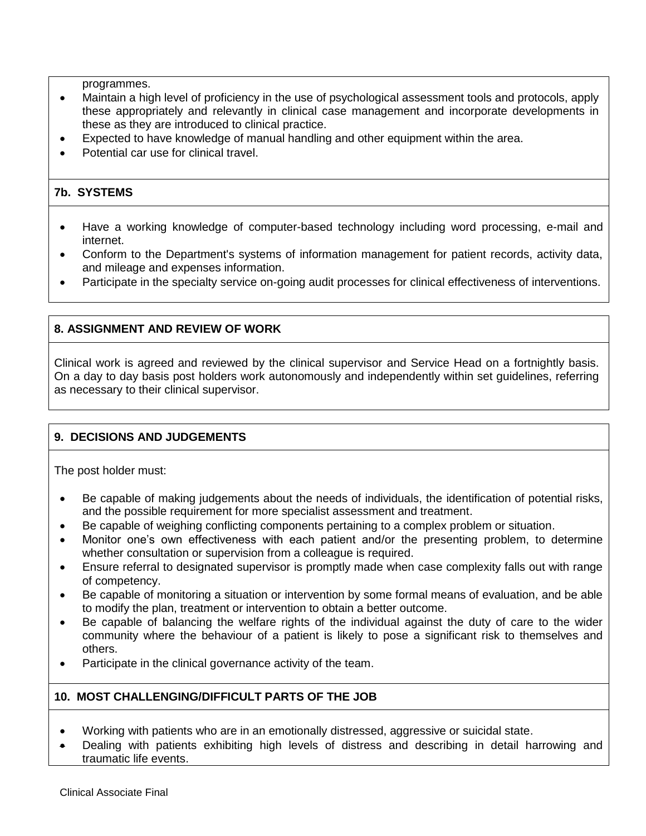programmes.

- Maintain a high level of proficiency in the use of psychological assessment tools and protocols, apply these appropriately and relevantly in clinical case management and incorporate developments in these as they are introduced to clinical practice.
- Expected to have knowledge of manual handling and other equipment within the area.
- Potential car use for clinical travel.

## **7b. SYSTEMS**

- Have a working knowledge of computer-based technology including word processing, e-mail and internet.
- Conform to the Department's systems of information management for patient records, activity data, and mileage and expenses information.
- Participate in the specialty service on-going audit processes for clinical effectiveness of interventions.

## **8. ASSIGNMENT AND REVIEW OF WORK**

Clinical work is agreed and reviewed by the clinical supervisor and Service Head on a fortnightly basis. On a day to day basis post holders work autonomously and independently within set guidelines, referring as necessary to their clinical supervisor.

## **9. DECISIONS AND JUDGEMENTS**

The post holder must:

- Be capable of making judgements about the needs of individuals, the identification of potential risks, and the possible requirement for more specialist assessment and treatment.
- Be capable of weighing conflicting components pertaining to a complex problem or situation.
- Monitor one's own effectiveness with each patient and/or the presenting problem, to determine whether consultation or supervision from a colleague is required.
- Ensure referral to designated supervisor is promptly made when case complexity falls out with range of competency.
- Be capable of monitoring a situation or intervention by some formal means of evaluation, and be able to modify the plan, treatment or intervention to obtain a better outcome.
- Be capable of balancing the welfare rights of the individual against the duty of care to the wider community where the behaviour of a patient is likely to pose a significant risk to themselves and others.
- Participate in the clinical governance activity of the team.

#### **10. MOST CHALLENGING/DIFFICULT PARTS OF THE JOB**

- Working with patients who are in an emotionally distressed, aggressive or suicidal state.
- Dealing with patients exhibiting high levels of distress and describing in detail harrowing and traumatic life events.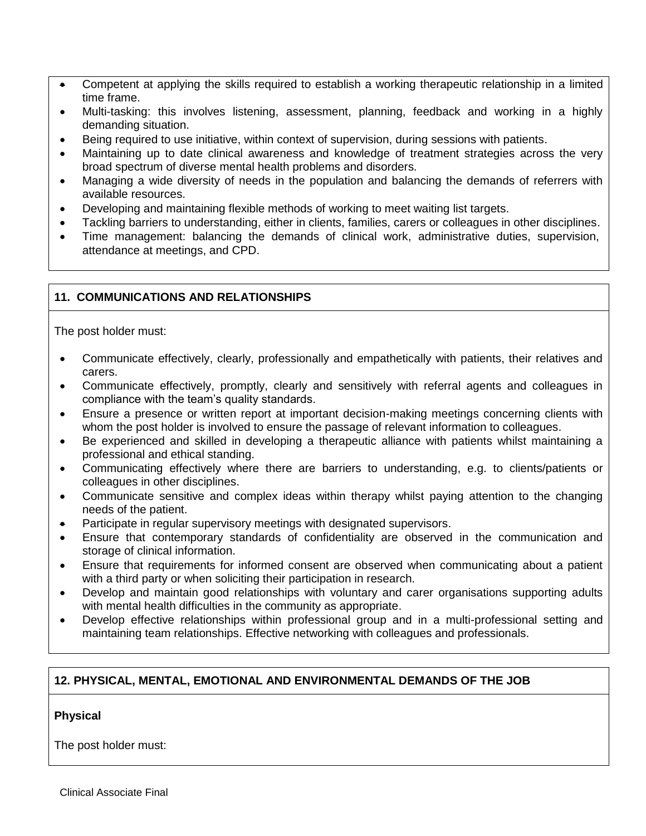- Competent at applying the skills required to establish a working therapeutic relationship in a limited time frame.
- Multi-tasking: this involves listening, assessment, planning, feedback and working in a highly demanding situation.
- Being required to use initiative, within context of supervision, during sessions with patients.
- Maintaining up to date clinical awareness and knowledge of treatment strategies across the very broad spectrum of diverse mental health problems and disorders.
- Managing a wide diversity of needs in the population and balancing the demands of referrers with available resources.
- Developing and maintaining flexible methods of working to meet waiting list targets.
- Tackling barriers to understanding, either in clients, families, carers or colleagues in other disciplines.
- Time management: balancing the demands of clinical work, administrative duties, supervision, attendance at meetings, and CPD.

## **11. COMMUNICATIONS AND RELATIONSHIPS**

The post holder must:

- Communicate effectively, clearly, professionally and empathetically with patients, their relatives and carers.
- Communicate effectively, promptly, clearly and sensitively with referral agents and colleagues in compliance with the team's quality standards.
- Ensure a presence or written report at important decision-making meetings concerning clients with whom the post holder is involved to ensure the passage of relevant information to colleagues.
- Be experienced and skilled in developing a therapeutic alliance with patients whilst maintaining a professional and ethical standing.
- Communicating effectively where there are barriers to understanding, e.g. to clients/patients or colleagues in other disciplines.
- Communicate sensitive and complex ideas within therapy whilst paying attention to the changing needs of the patient.
- Participate in regular supervisory meetings with designated supervisors.
- Ensure that contemporary standards of confidentiality are observed in the communication and storage of clinical information.
- Ensure that requirements for informed consent are observed when communicating about a patient with a third party or when soliciting their participation in research.
- Develop and maintain good relationships with voluntary and carer organisations supporting adults with mental health difficulties in the community as appropriate.
- Develop effective relationships within professional group and in a multi-professional setting and maintaining team relationships. Effective networking with colleagues and professionals.

## **12. PHYSICAL, MENTAL, EMOTIONAL AND ENVIRONMENTAL DEMANDS OF THE JOB**

#### **Physical**

The post holder must: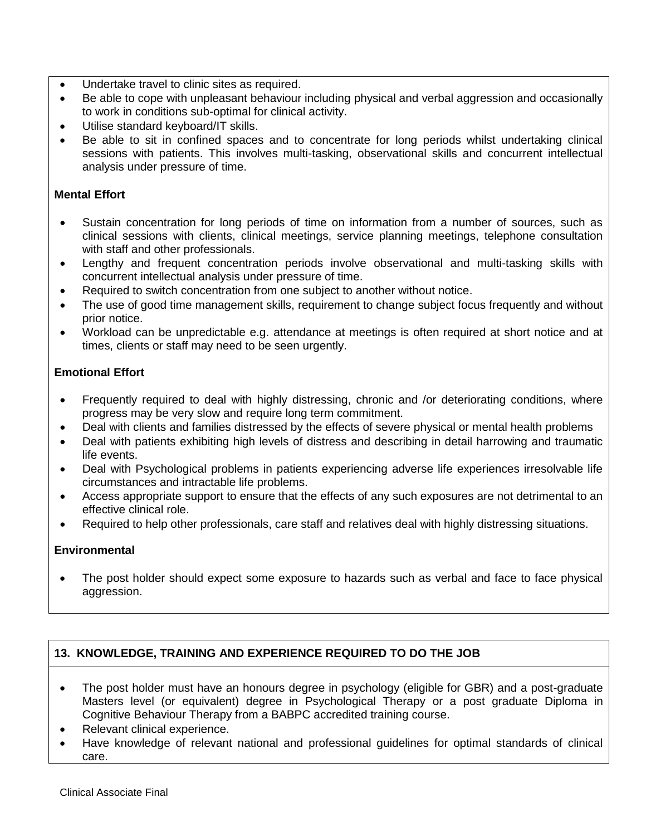- Undertake travel to clinic sites as required.
- Be able to cope with unpleasant behaviour including physical and verbal aggression and occasionally to work in conditions sub-optimal for clinical activity.
- Utilise standard keyboard/IT skills.
- Be able to sit in confined spaces and to concentrate for long periods whilst undertaking clinical sessions with patients. This involves multi-tasking, observational skills and concurrent intellectual analysis under pressure of time.

## **Mental Effort**

- Sustain concentration for long periods of time on information from a number of sources, such as clinical sessions with clients, clinical meetings, service planning meetings, telephone consultation with staff and other professionals.
- Lengthy and frequent concentration periods involve observational and multi-tasking skills with concurrent intellectual analysis under pressure of time.
- Required to switch concentration from one subject to another without notice.
- The use of good time management skills, requirement to change subject focus frequently and without prior notice.
- Workload can be unpredictable e.g. attendance at meetings is often required at short notice and at times, clients or staff may need to be seen urgently.

# **Emotional Effort**

- Frequently required to deal with highly distressing, chronic and /or deteriorating conditions, where progress may be very slow and require long term commitment.
- Deal with clients and families distressed by the effects of severe physical or mental health problems
- Deal with patients exhibiting high levels of distress and describing in detail harrowing and traumatic life events.
- Deal with Psychological problems in patients experiencing adverse life experiences irresolvable life circumstances and intractable life problems.
- Access appropriate support to ensure that the effects of any such exposures are not detrimental to an effective clinical role.
- Required to help other professionals, care staff and relatives deal with highly distressing situations.

# **Environmental**

• The post holder should expect some exposure to hazards such as verbal and face to face physical aggression.

# **13. KNOWLEDGE, TRAINING AND EXPERIENCE REQUIRED TO DO THE JOB**

- The post holder must have an honours degree in psychology (eligible for GBR) and a post-graduate Masters level (or equivalent) degree in Psychological Therapy or a post graduate Diploma in Cognitive Behaviour Therapy from a BABPC accredited training course.
- Relevant clinical experience.
- Have knowledge of relevant national and professional guidelines for optimal standards of clinical care.